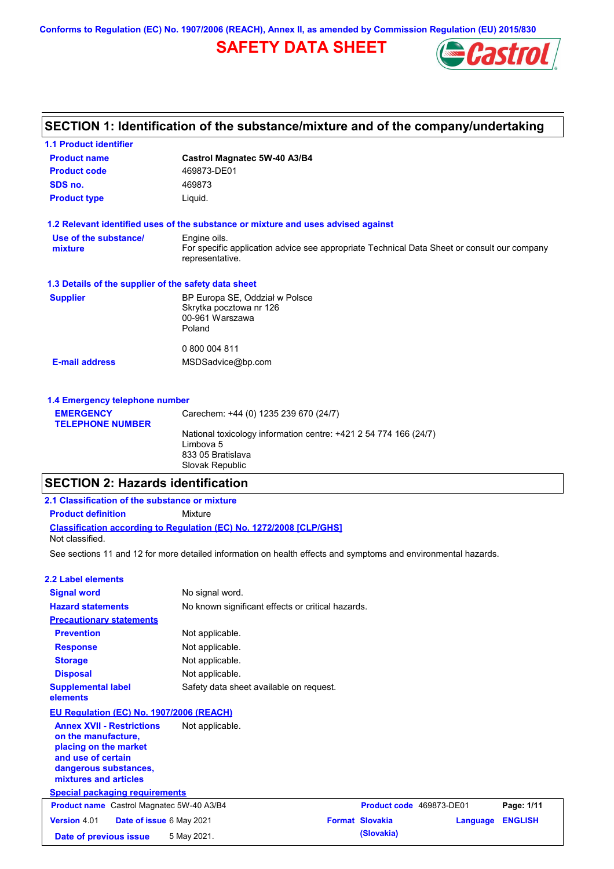**Conforms to Regulation (EC) No. 1907/2006 (REACH), Annex II, as amended by Commission Regulation (EU) 2015/830**

# **SAFETY DATA SHEET**



# **SECTION 1: Identification of the substance/mixture and of the company/undertaking**

| <b>1.1 Product identifier</b>                        |                                                                                                                |
|------------------------------------------------------|----------------------------------------------------------------------------------------------------------------|
| <b>Product name</b>                                  | Castrol Magnatec 5W-40 A3/B4                                                                                   |
| <b>Product code</b>                                  | 469873-DE01                                                                                                    |
| SDS no.                                              | 469873                                                                                                         |
| <b>Product type</b>                                  | Liquid.                                                                                                        |
|                                                      | 1.2 Relevant identified uses of the substance or mixture and uses advised against                              |
| Use of the substance/                                | Engine oils.                                                                                                   |
| mixture                                              | For specific application advice see appropriate Technical Data Sheet or consult our company<br>representative. |
| 1.3 Details of the supplier of the safety data sheet |                                                                                                                |
| <b>Supplier</b>                                      | BP Europa SE, Oddział w Polsce                                                                                 |
|                                                      | Skrytka pocztowa nr 126                                                                                        |
|                                                      | 00-961 Warszawa<br>Poland                                                                                      |
|                                                      | 0 800 004 811                                                                                                  |
|                                                      |                                                                                                                |
| <b>E-mail address</b>                                | MSDSadvice@bp.com                                                                                              |
|                                                      |                                                                                                                |
| 1.4 Emergency telephone number                       |                                                                                                                |

| <b>EMERGENCY</b>        | Carechem: +44 (0) 1235 239 670 (24/7)                            |  |
|-------------------------|------------------------------------------------------------------|--|
| <b>TELEPHONE NUMBER</b> |                                                                  |  |
|                         | National toxicology information centre: +421 2 54 774 166 (24/7) |  |
|                         | Limbova 5                                                        |  |
|                         | 833 05 Bratislava                                                |  |
|                         | Slovak Republic                                                  |  |
|                         |                                                                  |  |

# **SECTION 2: Hazards identification**

| 2.1 Classification of the substance or mixture                                                                                                           |                                                                                                                |                          |          |                |
|----------------------------------------------------------------------------------------------------------------------------------------------------------|----------------------------------------------------------------------------------------------------------------|--------------------------|----------|----------------|
| <b>Product definition</b>                                                                                                                                | Mixture                                                                                                        |                          |          |                |
| Not classified.                                                                                                                                          | <b>Classification according to Regulation (EC) No. 1272/2008 [CLP/GHS]</b>                                     |                          |          |                |
|                                                                                                                                                          | See sections 11 and 12 for more detailed information on health effects and symptoms and environmental hazards. |                          |          |                |
| 2.2 Label elements                                                                                                                                       |                                                                                                                |                          |          |                |
| <b>Signal word</b>                                                                                                                                       | No signal word.                                                                                                |                          |          |                |
| <b>Hazard statements</b>                                                                                                                                 | No known significant effects or critical hazards.                                                              |                          |          |                |
| <b>Precautionary statements</b>                                                                                                                          |                                                                                                                |                          |          |                |
| <b>Prevention</b>                                                                                                                                        | Not applicable.                                                                                                |                          |          |                |
| <b>Response</b>                                                                                                                                          | Not applicable.                                                                                                |                          |          |                |
| <b>Storage</b>                                                                                                                                           | Not applicable.                                                                                                |                          |          |                |
| <b>Disposal</b>                                                                                                                                          | Not applicable.                                                                                                |                          |          |                |
| <b>Supplemental label</b><br>elements                                                                                                                    | Safety data sheet available on request.                                                                        |                          |          |                |
| EU Regulation (EC) No. 1907/2006 (REACH)                                                                                                                 |                                                                                                                |                          |          |                |
| <b>Annex XVII - Restrictions</b><br>on the manufacture.<br>placing on the market<br>and use of certain<br>dangerous substances,<br>mixtures and articles | Not applicable.                                                                                                |                          |          |                |
| <b>Special packaging requirements</b>                                                                                                                    |                                                                                                                |                          |          |                |
| Product name Castrol Magnatec 5W-40 A3/B4                                                                                                                |                                                                                                                | Product code 469873-DE01 |          | Page: 1/11     |
| <b>Version 4.01</b><br>Date of issue 6 May 2021                                                                                                          |                                                                                                                | <b>Format Slovakia</b>   | Language | <b>ENGLISH</b> |
| Date of previous issue                                                                                                                                   | 5 May 2021.                                                                                                    | (Slovakia)               |          |                |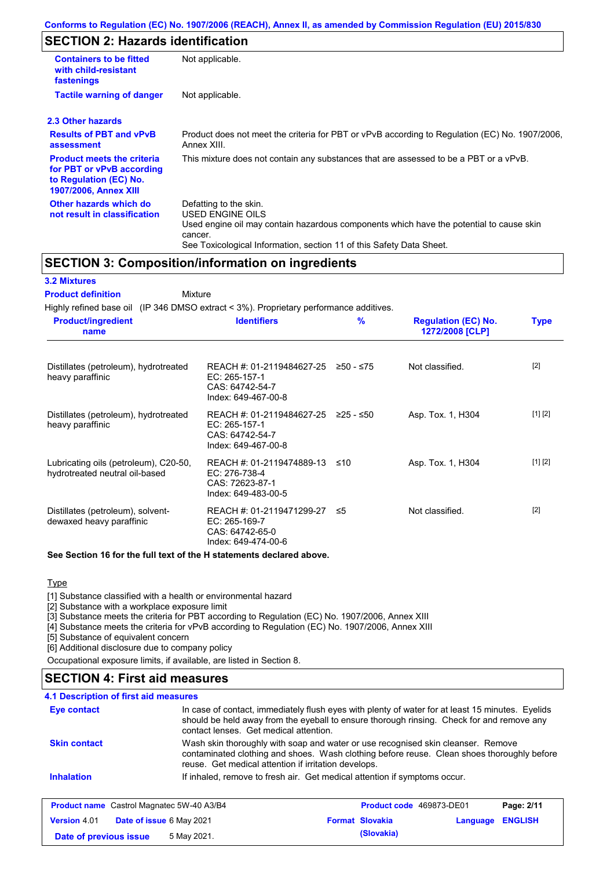# **SECTION 2: Hazards identification**

| <b>Containers to be fitted</b><br>with child-resistant<br>fastenings                                                     | Not applicable.                                                                                                                                                                                                          |
|--------------------------------------------------------------------------------------------------------------------------|--------------------------------------------------------------------------------------------------------------------------------------------------------------------------------------------------------------------------|
| <b>Tactile warning of danger</b>                                                                                         | Not applicable.                                                                                                                                                                                                          |
| 2.3 Other hazards                                                                                                        |                                                                                                                                                                                                                          |
| <b>Results of PBT and vPvB</b><br>assessment                                                                             | Product does not meet the criteria for PBT or vPvB according to Regulation (EC) No. 1907/2006,<br>Annex XIII.                                                                                                            |
| <b>Product meets the criteria</b><br>for PBT or vPvB according<br>to Regulation (EC) No.<br><b>1907/2006, Annex XIII</b> | This mixture does not contain any substances that are assessed to be a PBT or a vPvB.                                                                                                                                    |
| Other hazards which do<br>not result in classification                                                                   | Defatting to the skin.<br>USED ENGINE OILS<br>Used engine oil may contain hazardous components which have the potential to cause skin<br>cancer.<br>See Toxicological Information, section 11 of this Safety Data Sheet. |

## **SECTION 3: Composition/information on ingredients**

| <b>3.2 Mixtures</b>                                                                    |                                                                                      |               |                                               |             |
|----------------------------------------------------------------------------------------|--------------------------------------------------------------------------------------|---------------|-----------------------------------------------|-------------|
| <b>Product definition</b>                                                              | Mixture                                                                              |               |                                               |             |
| Highly refined base oil (IP 346 DMSO extract < 3%). Proprietary performance additives. |                                                                                      |               |                                               |             |
| <b>Product/ingredient</b><br>name                                                      | <b>Identifiers</b>                                                                   | $\frac{9}{6}$ | <b>Regulation (EC) No.</b><br>1272/2008 [CLP] | <b>Type</b> |
| Distillates (petroleum), hydrotreated<br>heavy paraffinic                              | REACH #: 01-2119484627-25<br>EC: 265-157-1<br>CAS: 64742-54-7<br>Index: 649-467-00-8 | $≥50 - ≤75$   | Not classified.                               | $[2]$       |
| Distillates (petroleum), hydrotreated<br>heavy paraffinic                              | REACH #: 01-2119484627-25<br>EC: 265-157-1<br>CAS: 64742-54-7<br>Index: 649-467-00-8 | 225 - ≤50     | Asp. Tox. 1, H304                             | [1] [2]     |
| Lubricating oils (petroleum), C20-50,<br>hydrotreated neutral oil-based                | REACH #: 01-2119474889-13<br>EC: 276-738-4<br>CAS: 72623-87-1<br>Index: 649-483-00-5 | ≤10           | Asp. Tox. 1, H304                             | [1] [2]     |
| Distillates (petroleum), solvent-<br>dewaxed heavy paraffinic                          | REACH #: 01-2119471299-27<br>EC: 265-169-7<br>CAS: 64742-65-0<br>Index: 649-474-00-6 | -≤5           | Not classified.                               | $[2]$       |
|                                                                                        |                                                                                      |               |                                               |             |

**See Section 16 for the full text of the H statements declared above.**

#### **Type**

[1] Substance classified with a health or environmental hazard

[2] Substance with a workplace exposure limit

[3] Substance meets the criteria for PBT according to Regulation (EC) No. 1907/2006, Annex XIII

[4] Substance meets the criteria for vPvB according to Regulation (EC) No. 1907/2006, Annex XIII

[5] Substance of equivalent concern

[6] Additional disclosure due to company policy

Occupational exposure limits, if available, are listed in Section 8.

## **SECTION 4: First aid measures**

## **4.1 Description of first aid measures**

| Eye contact                                      | In case of contact, immediately flush eyes with plenty of water for at least 15 minutes. Eyelids<br>should be held away from the eyeball to ensure thorough rinsing. Check for and remove any<br>contact lenses. Get medical attention. |                        |                          |                |
|--------------------------------------------------|-----------------------------------------------------------------------------------------------------------------------------------------------------------------------------------------------------------------------------------------|------------------------|--------------------------|----------------|
| <b>Skin contact</b>                              | Wash skin thoroughly with soap and water or use recognised skin cleanser. Remove<br>contaminated clothing and shoes. Wash clothing before reuse. Clean shoes thoroughly before<br>reuse. Get medical attention if irritation develops.  |                        |                          |                |
| <b>Inhalation</b>                                | If inhaled, remove to fresh air. Get medical attention if symptoms occur.                                                                                                                                                               |                        |                          |                |
| <b>Product name</b> Castrol Magnatec 5W-40 A3/B4 |                                                                                                                                                                                                                                         |                        | Product code 469873-DE01 | Page: 2/11     |
| Date of issue 6 May 2021<br>Version 4.01         |                                                                                                                                                                                                                                         | <b>Format Slovakia</b> | Language                 | <b>ENGLISH</b> |
| Date of previous issue                           | 5 May 2021.                                                                                                                                                                                                                             | (Slovakia)             |                          |                |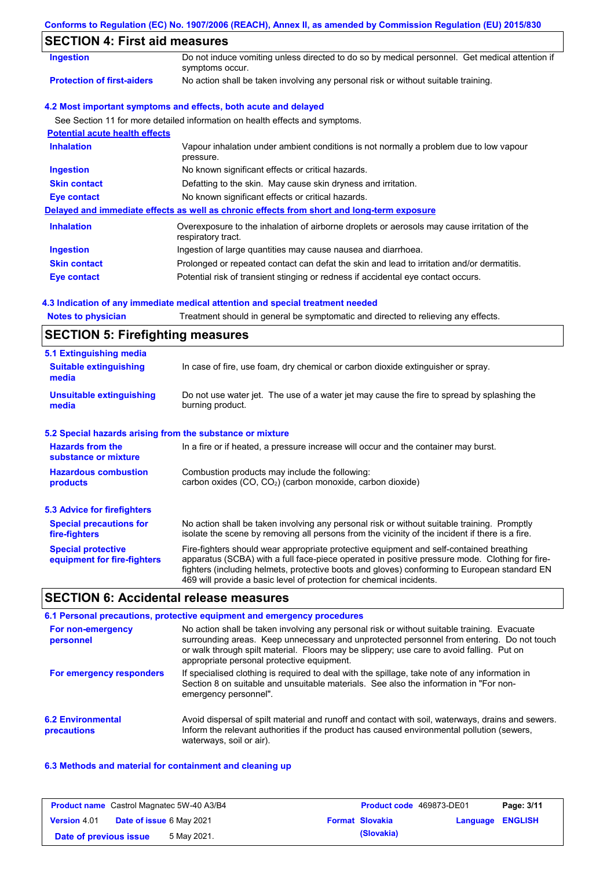### **Conforms to Regulation (EC) No. 1907/2006 (REACH), Annex II, as amended by Commission Regulation (EU) 2015/830**

## **SECTION 4: First aid measures**

| SECTION 4: FIRST ald measures         |                                                                                                                   |
|---------------------------------------|-------------------------------------------------------------------------------------------------------------------|
| <b>Ingestion</b>                      | Do not induce vomiting unless directed to do so by medical personnel. Get medical attention if<br>symptoms occur. |
| <b>Protection of first-aiders</b>     | No action shall be taken involving any personal risk or without suitable training.                                |
|                                       | 4.2 Most important symptoms and effects, both acute and delayed                                                   |
|                                       | See Section 11 for more detailed information on health effects and symptoms.                                      |
| <b>Potential acute health effects</b> |                                                                                                                   |
| <b>Inhalation</b>                     | Vapour inhalation under ambient conditions is not normally a problem due to low vapour<br>pressure.               |
| <b>Ingestion</b>                      | No known significant effects or critical hazards.                                                                 |
| <b>Skin contact</b>                   | Defatting to the skin. May cause skin dryness and irritation.                                                     |
| Eye contact                           | No known significant effects or critical hazards.                                                                 |
|                                       | Delayed and immediate effects as well as chronic effects from short and long-term exposure                        |
| <b>Inhalation</b>                     | Overexposure to the inhalation of airborne droplets or aerosols may cause irritation of the<br>respiratory tract. |
| <b>Ingestion</b>                      | Ingestion of large quantities may cause nausea and diarrhoea.                                                     |
| <b>Skin contact</b>                   | Prolonged or repeated contact can defat the skin and lead to irritation and/or dermatitis.                        |
| Eye contact                           | Potential risk of transient stinging or redness if accidental eye contact occurs.                                 |

### **4.3 Indication of any immediate medical attention and special treatment needed**

| <b>Notes to physician</b> |  | Treatment should in general be symptomatic and directed to relieving any effects. |  |  |  |  |
|---------------------------|--|-----------------------------------------------------------------------------------|--|--|--|--|
|---------------------------|--|-----------------------------------------------------------------------------------|--|--|--|--|

# **SECTION 5: Firefighting measures**

| 5.1 Extinguishing media                                   |                                                                                                                                                                                                                                                                                                                                                                   |
|-----------------------------------------------------------|-------------------------------------------------------------------------------------------------------------------------------------------------------------------------------------------------------------------------------------------------------------------------------------------------------------------------------------------------------------------|
| <b>Suitable extinguishing</b><br>media                    | In case of fire, use foam, dry chemical or carbon dioxide extinguisher or spray.                                                                                                                                                                                                                                                                                  |
| <b>Unsuitable extinguishing</b><br>media                  | Do not use water jet. The use of a water jet may cause the fire to spread by splashing the<br>burning product.                                                                                                                                                                                                                                                    |
| 5.2 Special hazards arising from the substance or mixture |                                                                                                                                                                                                                                                                                                                                                                   |
| <b>Hazards from the</b><br>substance or mixture           | In a fire or if heated, a pressure increase will occur and the container may burst.                                                                                                                                                                                                                                                                               |
| <b>Hazardous combustion</b><br>products                   | Combustion products may include the following:<br>carbon oxides (CO, CO <sub>2</sub> ) (carbon monoxide, carbon dioxide)                                                                                                                                                                                                                                          |
| 5.3 Advice for firefighters                               |                                                                                                                                                                                                                                                                                                                                                                   |
| <b>Special precautions for</b><br>fire-fighters           | No action shall be taken involving any personal risk or without suitable training. Promptly<br>isolate the scene by removing all persons from the vicinity of the incident if there is a fire.                                                                                                                                                                    |
| <b>Special protective</b><br>equipment for fire-fighters  | Fire-fighters should wear appropriate protective equipment and self-contained breathing<br>apparatus (SCBA) with a full face-piece operated in positive pressure mode. Clothing for fire-<br>fighters (including helmets, protective boots and gloves) conforming to European standard EN<br>469 will provide a basic level of protection for chemical incidents. |

## **SECTION 6: Accidental release measures**

#### **6.2 Environmental precautions** Avoid dispersal of spilt material and runoff and contact with soil, waterways, drains and sewers. Inform the relevant authorities if the product has caused environmental pollution (sewers, waterways, soil or air). **6.1 Personal precautions, protective equipment and emergency procedures For non-emergency personnel For emergency responders** No action shall be taken involving any personal risk or without suitable training. Evacuate surrounding areas. Keep unnecessary and unprotected personnel from entering. Do not touch or walk through spilt material. Floors may be slippery; use care to avoid falling. Put on appropriate personal protective equipment. If specialised clothing is required to deal with the spillage, take note of any information in Section 8 on suitable and unsuitable materials. See also the information in "For nonemergency personnel".

### **6.3 Methods and material for containment and cleaning up**

|                        |                                 | <b>Product name</b> Castrol Magnatec 5W-40 A3/B4 | <b>Product code</b> 469873-DE01 |                  | Page: 3/11 |
|------------------------|---------------------------------|--------------------------------------------------|---------------------------------|------------------|------------|
| <b>Version 4.01</b>    | <b>Date of issue 6 May 2021</b> |                                                  | <b>Format Slovakia</b>          | Language ENGLISH |            |
| Date of previous issue |                                 | 5 May 2021.                                      | (Slovakia)                      |                  |            |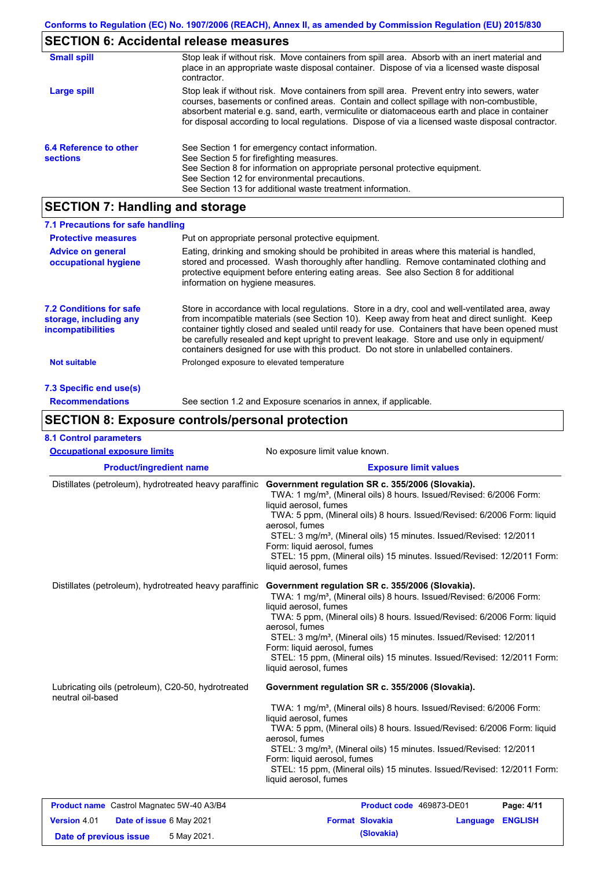# **SECTION 6: Accidental release measures**

| <b>Small spill</b>                        | Stop leak if without risk. Move containers from spill area. Absorb with an inert material and<br>place in an appropriate waste disposal container. Dispose of via a licensed waste disposal<br>contractor.                                                                                                                                                                                     |
|-------------------------------------------|------------------------------------------------------------------------------------------------------------------------------------------------------------------------------------------------------------------------------------------------------------------------------------------------------------------------------------------------------------------------------------------------|
| Large spill                               | Stop leak if without risk. Move containers from spill area. Prevent entry into sewers, water<br>courses, basements or confined areas. Contain and collect spillage with non-combustible,<br>absorbent material e.g. sand, earth, vermiculite or diatomaceous earth and place in container<br>for disposal according to local regulations. Dispose of via a licensed waste disposal contractor. |
| 6.4 Reference to other<br><b>sections</b> | See Section 1 for emergency contact information.<br>See Section 5 for firefighting measures.<br>See Section 8 for information on appropriate personal protective equipment.<br>See Section 12 for environmental precautions.<br>See Section 13 for additional waste treatment information.                                                                                                     |

# **SECTION 7: Handling and storage**

| 7.1 Precautions for safe handling                                                    |                                                                                                                                                                                                                                                                                                                                                                                                                                                                                          |
|--------------------------------------------------------------------------------------|------------------------------------------------------------------------------------------------------------------------------------------------------------------------------------------------------------------------------------------------------------------------------------------------------------------------------------------------------------------------------------------------------------------------------------------------------------------------------------------|
| <b>Protective measures</b>                                                           | Put on appropriate personal protective equipment.                                                                                                                                                                                                                                                                                                                                                                                                                                        |
| <b>Advice on general</b><br>occupational hygiene                                     | Eating, drinking and smoking should be prohibited in areas where this material is handled.<br>stored and processed. Wash thoroughly after handling. Remove contaminated clothing and<br>protective equipment before entering eating areas. See also Section 8 for additional<br>information on hygiene measures.                                                                                                                                                                         |
| <b>7.2 Conditions for safe</b><br>storage, including any<br><i>incompatibilities</i> | Store in accordance with local requiations. Store in a dry, cool and well-ventilated area, away<br>from incompatible materials (see Section 10). Keep away from heat and direct sunlight. Keep<br>container tightly closed and sealed until ready for use. Containers that have been opened must<br>be carefully resealed and kept upright to prevent leakage. Store and use only in equipment/<br>containers designed for use with this product. Do not store in unlabelled containers. |
| Not suitable                                                                         | Prolonged exposure to elevated temperature                                                                                                                                                                                                                                                                                                                                                                                                                                               |
| 7.3 Specific end use(s)                                                              |                                                                                                                                                                                                                                                                                                                                                                                                                                                                                          |
| <b>Recommendations</b>                                                               | See section 1.2 and Exposure scenarios in annex, if applicable.                                                                                                                                                                                                                                                                                                                                                                                                                          |

# **SECTION 8: Exposure controls/personal protection**

|  | <b>8.1 Control parameters</b> |  |
|--|-------------------------------|--|
|--|-------------------------------|--|

| <b>Occupational exposure limits</b>                                                      | No exposure limit value known.                                                                                                                                                                                                                                                                                                                                                                                                                                                |  |  |  |  |
|------------------------------------------------------------------------------------------|-------------------------------------------------------------------------------------------------------------------------------------------------------------------------------------------------------------------------------------------------------------------------------------------------------------------------------------------------------------------------------------------------------------------------------------------------------------------------------|--|--|--|--|
| <b>Product/ingredient name</b>                                                           | <b>Exposure limit values</b>                                                                                                                                                                                                                                                                                                                                                                                                                                                  |  |  |  |  |
| Distillates (petroleum), hydrotreated heavy paraffinic                                   | Government regulation SR c. 355/2006 (Slovakia).<br>TWA: 1 mg/m <sup>3</sup> , (Mineral oils) 8 hours. Issued/Revised: 6/2006 Form:<br>liquid aerosol, fumes<br>TWA: 5 ppm, (Mineral oils) 8 hours. Issued/Revised: 6/2006 Form: liquid<br>aerosol, fumes<br>STEL: 3 mg/m <sup>3</sup> , (Mineral oils) 15 minutes. Issued/Revised: 12/2011<br>Form: liquid aerosol, fumes<br>STEL: 15 ppm, (Mineral oils) 15 minutes. Issued/Revised: 12/2011 Form:<br>liquid aerosol, fumes |  |  |  |  |
| Distillates (petroleum), hydrotreated heavy paraffinic                                   | Government regulation SR c. 355/2006 (Slovakia).<br>TWA: 1 mg/m <sup>3</sup> , (Mineral oils) 8 hours. Issued/Revised: 6/2006 Form:<br>liquid aerosol, fumes<br>TWA: 5 ppm, (Mineral oils) 8 hours. Issued/Revised: 6/2006 Form: liquid<br>aerosol, fumes<br>STEL: 3 mg/m <sup>3</sup> , (Mineral oils) 15 minutes. Issued/Revised: 12/2011<br>Form: liquid aerosol, fumes<br>STEL: 15 ppm, (Mineral oils) 15 minutes. Issued/Revised: 12/2011 Form:<br>liquid aerosol, fumes |  |  |  |  |
| Lubricating oils (petroleum), C20-50, hydrotreated<br>neutral oil-based                  | Government regulation SR c. 355/2006 (Slovakia).<br>TWA: 1 mg/m <sup>3</sup> , (Mineral oils) 8 hours. Issued/Revised: 6/2006 Form:<br>liquid aerosol, fumes<br>TWA: 5 ppm, (Mineral oils) 8 hours. Issued/Revised: 6/2006 Form: liquid<br>aerosol, fumes<br>STEL: 3 mg/m <sup>3</sup> , (Mineral oils) 15 minutes. Issued/Revised: 12/2011<br>Form: liquid aerosol, fumes<br>STEL: 15 ppm, (Mineral oils) 15 minutes. Issued/Revised: 12/2011 Form:<br>liquid aerosol, fumes |  |  |  |  |
| <b>Product name</b> Castrol Magnatec 5W-40 A3/B4                                         | Page: 4/11<br>Product code 469873-DE01                                                                                                                                                                                                                                                                                                                                                                                                                                        |  |  |  |  |
| <b>Version 4.01</b><br>Date of issue 6 May 2021<br>5 May 2021.<br>Date of previous issue | <b>Format Slovakia</b><br><b>ENGLISH</b><br>Language<br>(Slovakia)                                                                                                                                                                                                                                                                                                                                                                                                            |  |  |  |  |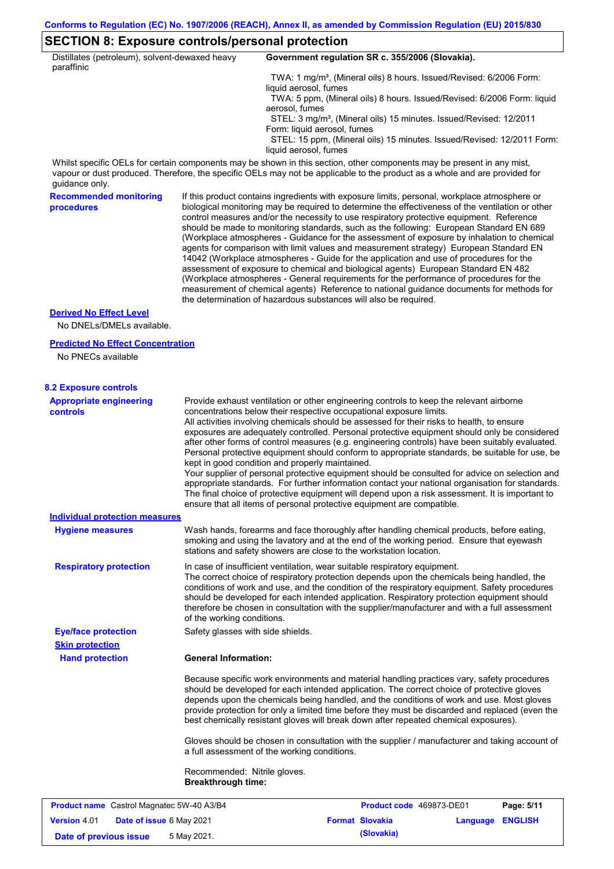# **SECTION 8: Exposure controls/personal protection**

| Distillates (petroleum), solvent-dewaxed heavy              |                                                           | Government regulation SR c. 355/2006 (Slovakia).                                                                                                                                                                                                                                                                                                                                                                                                                                                                                                                                                                                                                                                                                                                                                                                                                                                                                                                                                                           |  |  |  |
|-------------------------------------------------------------|-----------------------------------------------------------|----------------------------------------------------------------------------------------------------------------------------------------------------------------------------------------------------------------------------------------------------------------------------------------------------------------------------------------------------------------------------------------------------------------------------------------------------------------------------------------------------------------------------------------------------------------------------------------------------------------------------------------------------------------------------------------------------------------------------------------------------------------------------------------------------------------------------------------------------------------------------------------------------------------------------------------------------------------------------------------------------------------------------|--|--|--|
| paraffinic                                                  |                                                           | TWA: 1 mg/m <sup>3</sup> , (Mineral oils) 8 hours. Issued/Revised: 6/2006 Form:                                                                                                                                                                                                                                                                                                                                                                                                                                                                                                                                                                                                                                                                                                                                                                                                                                                                                                                                            |  |  |  |
|                                                             |                                                           | liquid aerosol, fumes<br>TWA: 5 ppm, (Mineral oils) 8 hours. Issued/Revised: 6/2006 Form: liquid                                                                                                                                                                                                                                                                                                                                                                                                                                                                                                                                                                                                                                                                                                                                                                                                                                                                                                                           |  |  |  |
|                                                             |                                                           | aerosol, fumes<br>STEL: 3 mg/m <sup>3</sup> , (Mineral oils) 15 minutes. Issued/Revised: 12/2011                                                                                                                                                                                                                                                                                                                                                                                                                                                                                                                                                                                                                                                                                                                                                                                                                                                                                                                           |  |  |  |
|                                                             |                                                           | Form: liquid aerosol, fumes<br>STEL: 15 ppm, (Mineral oils) 15 minutes. Issued/Revised: 12/2011 Form:<br>liquid aerosol, fumes                                                                                                                                                                                                                                                                                                                                                                                                                                                                                                                                                                                                                                                                                                                                                                                                                                                                                             |  |  |  |
| guidance only.                                              |                                                           | Whilst specific OELs for certain components may be shown in this section, other components may be present in any mist,<br>vapour or dust produced. Therefore, the specific OELs may not be applicable to the product as a whole and are provided for                                                                                                                                                                                                                                                                                                                                                                                                                                                                                                                                                                                                                                                                                                                                                                       |  |  |  |
| <b>Recommended monitoring</b><br>procedures                 |                                                           | If this product contains ingredients with exposure limits, personal, workplace atmosphere or<br>biological monitoring may be required to determine the effectiveness of the ventilation or other<br>control measures and/or the necessity to use respiratory protective equipment. Reference<br>should be made to monitoring standards, such as the following: European Standard EN 689<br>(Workplace atmospheres - Guidance for the assessment of exposure by inhalation to chemical<br>agents for comparison with limit values and measurement strategy) European Standard EN<br>14042 (Workplace atmospheres - Guide for the application and use of procedures for the<br>assessment of exposure to chemical and biological agents) European Standard EN 482<br>(Workplace atmospheres - General requirements for the performance of procedures for the<br>measurement of chemical agents) Reference to national guidance documents for methods for<br>the determination of hazardous substances will also be required. |  |  |  |
| <b>Derived No Effect Level</b><br>No DNELs/DMELs available. |                                                           |                                                                                                                                                                                                                                                                                                                                                                                                                                                                                                                                                                                                                                                                                                                                                                                                                                                                                                                                                                                                                            |  |  |  |
| <b>Predicted No Effect Concentration</b>                    |                                                           |                                                                                                                                                                                                                                                                                                                                                                                                                                                                                                                                                                                                                                                                                                                                                                                                                                                                                                                                                                                                                            |  |  |  |
| No PNECs available                                          |                                                           |                                                                                                                                                                                                                                                                                                                                                                                                                                                                                                                                                                                                                                                                                                                                                                                                                                                                                                                                                                                                                            |  |  |  |
| <b>8.2 Exposure controls</b>                                |                                                           |                                                                                                                                                                                                                                                                                                                                                                                                                                                                                                                                                                                                                                                                                                                                                                                                                                                                                                                                                                                                                            |  |  |  |
| <b>Appropriate engineering</b><br>controls                  |                                                           | Provide exhaust ventilation or other engineering controls to keep the relevant airborne<br>concentrations below their respective occupational exposure limits.<br>All activities involving chemicals should be assessed for their risks to health, to ensure<br>exposures are adequately controlled. Personal protective equipment should only be considered<br>after other forms of control measures (e.g. engineering controls) have been suitably evaluated.<br>Personal protective equipment should conform to appropriate standards, be suitable for use, be<br>kept in good condition and properly maintained.<br>Your supplier of personal protective equipment should be consulted for advice on selection and<br>appropriate standards. For further information contact your national organisation for standards.<br>The final choice of protective equipment will depend upon a risk assessment. It is important to<br>ensure that all items of personal protective equipment are compatible.                    |  |  |  |
| <b>Individual protection measures</b>                       |                                                           |                                                                                                                                                                                                                                                                                                                                                                                                                                                                                                                                                                                                                                                                                                                                                                                                                                                                                                                                                                                                                            |  |  |  |
| <b>Hygiene measures</b>                                     |                                                           | Wash hands, forearms and face thoroughly after handling chemical products, before eating,<br>smoking and using the lavatory and at the end of the working period. Ensure that eyewash<br>stations and safety showers are close to the workstation location.                                                                                                                                                                                                                                                                                                                                                                                                                                                                                                                                                                                                                                                                                                                                                                |  |  |  |
| <b>Respiratory protection</b>                               | of the working conditions.                                | In case of insufficient ventilation, wear suitable respiratory equipment.<br>The correct choice of respiratory protection depends upon the chemicals being handled, the<br>conditions of work and use, and the condition of the respiratory equipment. Safety procedures<br>should be developed for each intended application. Respiratory protection equipment should<br>therefore be chosen in consultation with the supplier/manufacturer and with a full assessment                                                                                                                                                                                                                                                                                                                                                                                                                                                                                                                                                    |  |  |  |
| <b>Eye/face protection</b>                                  | Safety glasses with side shields.                         |                                                                                                                                                                                                                                                                                                                                                                                                                                                                                                                                                                                                                                                                                                                                                                                                                                                                                                                                                                                                                            |  |  |  |
| <b>Skin protection</b><br><b>Hand protection</b>            | <b>General Information:</b>                               |                                                                                                                                                                                                                                                                                                                                                                                                                                                                                                                                                                                                                                                                                                                                                                                                                                                                                                                                                                                                                            |  |  |  |
|                                                             |                                                           | Because specific work environments and material handling practices vary, safety procedures<br>should be developed for each intended application. The correct choice of protective gloves<br>depends upon the chemicals being handled, and the conditions of work and use. Most gloves<br>provide protection for only a limited time before they must be discarded and replaced (even the<br>best chemically resistant gloves will break down after repeated chemical exposures).                                                                                                                                                                                                                                                                                                                                                                                                                                                                                                                                           |  |  |  |
|                                                             |                                                           | Gloves should be chosen in consultation with the supplier / manufacturer and taking account of<br>a full assessment of the working conditions.                                                                                                                                                                                                                                                                                                                                                                                                                                                                                                                                                                                                                                                                                                                                                                                                                                                                             |  |  |  |
|                                                             | Recommended: Nitrile gloves.<br><b>Breakthrough time:</b> |                                                                                                                                                                                                                                                                                                                                                                                                                                                                                                                                                                                                                                                                                                                                                                                                                                                                                                                                                                                                                            |  |  |  |
| Product name Castrol Magnatec 5W-40 A3/B4                   |                                                           | <b>Product code</b> 469873-DE01<br>Page: 5/11                                                                                                                                                                                                                                                                                                                                                                                                                                                                                                                                                                                                                                                                                                                                                                                                                                                                                                                                                                              |  |  |  |
| <b>Version 4.01</b><br>Date of issue 6 May 2021             |                                                           | <b>Format Slovakia</b><br><b>Language ENGLISH</b>                                                                                                                                                                                                                                                                                                                                                                                                                                                                                                                                                                                                                                                                                                                                                                                                                                                                                                                                                                          |  |  |  |

**Date of previous issue 5 May 2021. (Slovakia) (Slovakia)**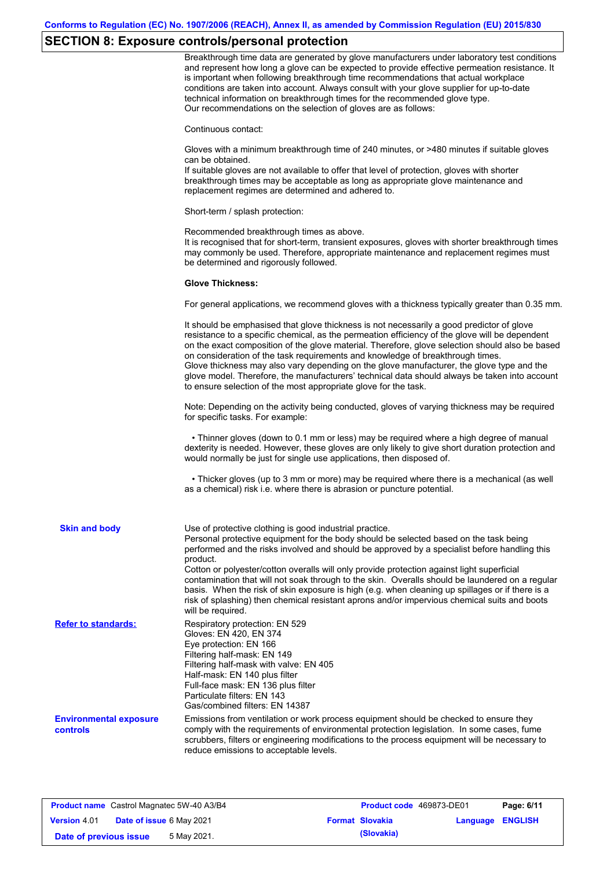# **SECTION 8: Exposure controls/personal protection**

|                                                  | Breakthrough time data are generated by glove manufacturers under laboratory test conditions<br>and represent how long a glove can be expected to provide effective permeation resistance. It<br>is important when following breakthrough time recommendations that actual workplace<br>conditions are taken into account. Always consult with your glove supplier for up-to-date<br>technical information on breakthrough times for the recommended glove type.<br>Our recommendations on the selection of gloves are as follows:                                                                                                                |
|--------------------------------------------------|---------------------------------------------------------------------------------------------------------------------------------------------------------------------------------------------------------------------------------------------------------------------------------------------------------------------------------------------------------------------------------------------------------------------------------------------------------------------------------------------------------------------------------------------------------------------------------------------------------------------------------------------------|
|                                                  | Continuous contact:                                                                                                                                                                                                                                                                                                                                                                                                                                                                                                                                                                                                                               |
|                                                  | Gloves with a minimum breakthrough time of 240 minutes, or >480 minutes if suitable gloves<br>can be obtained.<br>If suitable gloves are not available to offer that level of protection, gloves with shorter<br>breakthrough times may be acceptable as long as appropriate glove maintenance and<br>replacement regimes are determined and adhered to.                                                                                                                                                                                                                                                                                          |
|                                                  | Short-term / splash protection:                                                                                                                                                                                                                                                                                                                                                                                                                                                                                                                                                                                                                   |
|                                                  | Recommended breakthrough times as above.<br>It is recognised that for short-term, transient exposures, gloves with shorter breakthrough times<br>may commonly be used. Therefore, appropriate maintenance and replacement regimes must<br>be determined and rigorously followed.                                                                                                                                                                                                                                                                                                                                                                  |
|                                                  | <b>Glove Thickness:</b>                                                                                                                                                                                                                                                                                                                                                                                                                                                                                                                                                                                                                           |
|                                                  | For general applications, we recommend gloves with a thickness typically greater than 0.35 mm.                                                                                                                                                                                                                                                                                                                                                                                                                                                                                                                                                    |
|                                                  | It should be emphasised that glove thickness is not necessarily a good predictor of glove<br>resistance to a specific chemical, as the permeation efficiency of the glove will be dependent<br>on the exact composition of the glove material. Therefore, glove selection should also be based<br>on consideration of the task requirements and knowledge of breakthrough times.<br>Glove thickness may also vary depending on the glove manufacturer, the glove type and the<br>glove model. Therefore, the manufacturers' technical data should always be taken into account<br>to ensure selection of the most appropriate glove for the task. |
|                                                  | Note: Depending on the activity being conducted, gloves of varying thickness may be required<br>for specific tasks. For example:                                                                                                                                                                                                                                                                                                                                                                                                                                                                                                                  |
|                                                  | • Thinner gloves (down to 0.1 mm or less) may be required where a high degree of manual<br>dexterity is needed. However, these gloves are only likely to give short duration protection and<br>would normally be just for single use applications, then disposed of.                                                                                                                                                                                                                                                                                                                                                                              |
|                                                  | • Thicker gloves (up to 3 mm or more) may be required where there is a mechanical (as well<br>as a chemical) risk i.e. where there is abrasion or puncture potential.                                                                                                                                                                                                                                                                                                                                                                                                                                                                             |
| <b>Skin and body</b>                             | Use of protective clothing is good industrial practice.<br>Personal protective equipment for the body should be selected based on the task being<br>performed and the risks involved and should be approved by a specialist before handling this<br>product.<br>Cotton or polyester/cotton overalls will only provide protection against light superficial                                                                                                                                                                                                                                                                                        |
|                                                  | contamination that will not soak through to the skin. Overalls should be laundered on a regular<br>basis. When the risk of skin exposure is high (e.g. when cleaning up spillages or if there is a<br>risk of splashing) then chemical resistant aprons and/or impervious chemical suits and boots<br>will be required.                                                                                                                                                                                                                                                                                                                           |
| <b>Refer to standards:</b>                       | Respiratory protection: EN 529<br>Gloves: EN 420, EN 374<br>Eye protection: EN 166<br>Filtering half-mask: EN 149<br>Filtering half-mask with valve: EN 405<br>Half-mask: EN 140 plus filter<br>Full-face mask: EN 136 plus filter<br>Particulate filters: EN 143<br>Gas/combined filters: EN 14387                                                                                                                                                                                                                                                                                                                                               |
| <b>Environmental exposure</b><br><b>controls</b> | Emissions from ventilation or work process equipment should be checked to ensure they<br>comply with the requirements of environmental protection legislation. In some cases, fume<br>scrubbers, filters or engineering modifications to the process equipment will be necessary to<br>reduce emissions to acceptable levels.                                                                                                                                                                                                                                                                                                                     |

| <b>Product name</b> Castrol Magnatec 5W-40 A3/B4 |                                 | Product code 469873-DE01 |  | Page: 6/11             |                         |  |
|--------------------------------------------------|---------------------------------|--------------------------|--|------------------------|-------------------------|--|
| <b>Version 4.01</b>                              | <b>Date of issue 6 May 2021</b> |                          |  | <b>Format Slovakia</b> | <b>Language ENGLISH</b> |  |
| Date of previous issue                           |                                 | 5 May 2021.              |  | (Slovakia)             |                         |  |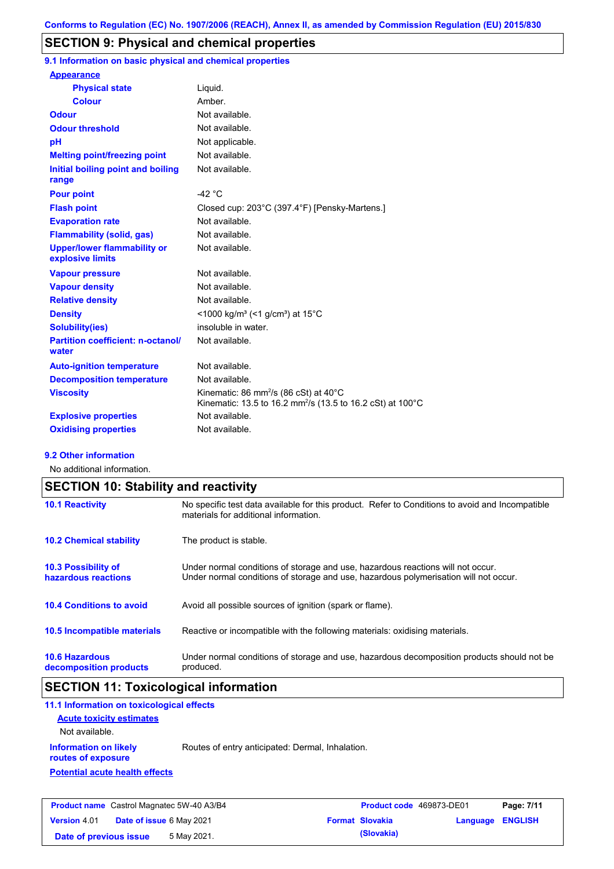## **SECTION 9: Physical and chemical properties**

**9.1 Information on basic physical and chemical properties**

| <b>Appearance</b>                                      |                                                                                                                                        |
|--------------------------------------------------------|----------------------------------------------------------------------------------------------------------------------------------------|
| <b>Physical state</b>                                  | Liquid.                                                                                                                                |
| <b>Colour</b>                                          | Amber                                                                                                                                  |
| <b>Odour</b>                                           | Not available.                                                                                                                         |
| <b>Odour threshold</b>                                 | Not available.                                                                                                                         |
| pH                                                     | Not applicable.                                                                                                                        |
| <b>Melting point/freezing point</b>                    | Not available.                                                                                                                         |
| Initial boiling point and boiling<br>range             | Not available.                                                                                                                         |
| <b>Pour point</b>                                      | -42 $\degree$ C                                                                                                                        |
| <b>Flash point</b>                                     | Closed cup: 203°C (397.4°F) [Pensky-Martens.]                                                                                          |
| <b>Evaporation rate</b>                                | Not available                                                                                                                          |
| <b>Flammability (solid, gas)</b>                       | Not available.                                                                                                                         |
| <b>Upper/lower flammability or</b><br>explosive limits | Not available.                                                                                                                         |
| <b>Vapour pressure</b>                                 | Not available.                                                                                                                         |
| <b>Vapour density</b>                                  | Not available.                                                                                                                         |
| <b>Relative density</b>                                | Not available.                                                                                                                         |
| <b>Density</b>                                         | <1000 kg/m <sup>3</sup> (<1 g/cm <sup>3</sup> ) at 15 <sup>°</sup> C                                                                   |
| <b>Solubility(ies)</b>                                 | insoluble in water.                                                                                                                    |
| <b>Partition coefficient: n-octanol/</b><br>water      | Not available.                                                                                                                         |
| <b>Auto-ignition temperature</b>                       | Not available.                                                                                                                         |
| <b>Decomposition temperature</b>                       | Not available.                                                                                                                         |
| <b>Viscosity</b>                                       | Kinematic: 86 mm <sup>2</sup> /s (86 cSt) at $40^{\circ}$ C<br>Kinematic: 13.5 to 16.2 mm <sup>2</sup> /s (13.5 to 16.2 cSt) at 100 °C |
| <b>Explosive properties</b>                            | Not available.                                                                                                                         |
| <b>Oxidising properties</b>                            | Not available.                                                                                                                         |

### **9.2 Other information**

No additional information.

|                                                   | <b>SECTION 10: Stability and reactivity</b>                                                                                                                             |  |  |  |  |
|---------------------------------------------------|-------------------------------------------------------------------------------------------------------------------------------------------------------------------------|--|--|--|--|
| <b>10.1 Reactivity</b>                            | No specific test data available for this product. Refer to Conditions to avoid and Incompatible<br>materials for additional information.                                |  |  |  |  |
| <b>10.2 Chemical stability</b>                    | The product is stable.                                                                                                                                                  |  |  |  |  |
| <b>10.3 Possibility of</b><br>hazardous reactions | Under normal conditions of storage and use, hazardous reactions will not occur.<br>Under normal conditions of storage and use, hazardous polymerisation will not occur. |  |  |  |  |
| <b>10.4 Conditions to avoid</b>                   | Avoid all possible sources of ignition (spark or flame).                                                                                                                |  |  |  |  |
| <b>10.5 Incompatible materials</b>                | Reactive or incompatible with the following materials: oxidising materials.                                                                                             |  |  |  |  |
| <b>10.6 Hazardous</b><br>decomposition products   | Under normal conditions of storage and use, hazardous decomposition products should not be<br>produced.                                                                 |  |  |  |  |

# **SECTION 11: Toxicological information**

| $P_{\text{max}}$ , $I_{\text{max}}$ , $I_{\text{max}}$ , $I_{\text{max}}$ , $I_{\text{max}}$ , $I_{\text{max}}$ , $I_{\text{max}}$ , $I_{\text{max}}$ , $I_{\text{max}}$ , $I_{\text{max}}$ , $I_{\text{max}}$ , $I_{\text{max}}$ , $I_{\text{max}}$ , $I_{\text{max}}$ , $I_{\text{max}}$ , $I_{\text{max}}$ , $I_{\text{max}}$ , $I_{\text{max}}$ , $I_{\text{max}}$ , $I_{\text{max}}$ , |                                                  | <b>Business College ACOORD BEOX</b> | <b>B.L.</b> 4 |
|---------------------------------------------------------------------------------------------------------------------------------------------------------------------------------------------------------------------------------------------------------------------------------------------------------------------------------------------------------------------------------------------|--------------------------------------------------|-------------------------------------|---------------|
| <b>Potential acute health effects</b>                                                                                                                                                                                                                                                                                                                                                       |                                                  |                                     |               |
| <b>Information on likely</b><br>routes of exposure                                                                                                                                                                                                                                                                                                                                          | Routes of entry anticipated: Dermal, Inhalation. |                                     |               |
| Not available.                                                                                                                                                                                                                                                                                                                                                                              |                                                  |                                     |               |
| <b>Acute toxicity estimates</b>                                                                                                                                                                                                                                                                                                                                                             |                                                  |                                     |               |
| 11.1 Information on toxicological effects                                                                                                                                                                                                                                                                                                                                                   |                                                  |                                     |               |

|                        |                                 | <b>Product name</b> Castrol Magnatec 5W-40 A3/B4 | <b>Product code</b> 469873-DE01 |                  | Page: 7/11 |
|------------------------|---------------------------------|--------------------------------------------------|---------------------------------|------------------|------------|
| <b>Version 4.01</b>    | <b>Date of issue 6 May 2021</b> |                                                  | <b>Format Slovakia</b>          | Language ENGLISH |            |
| Date of previous issue |                                 | 5 May 2021.                                      | (Slovakia)                      |                  |            |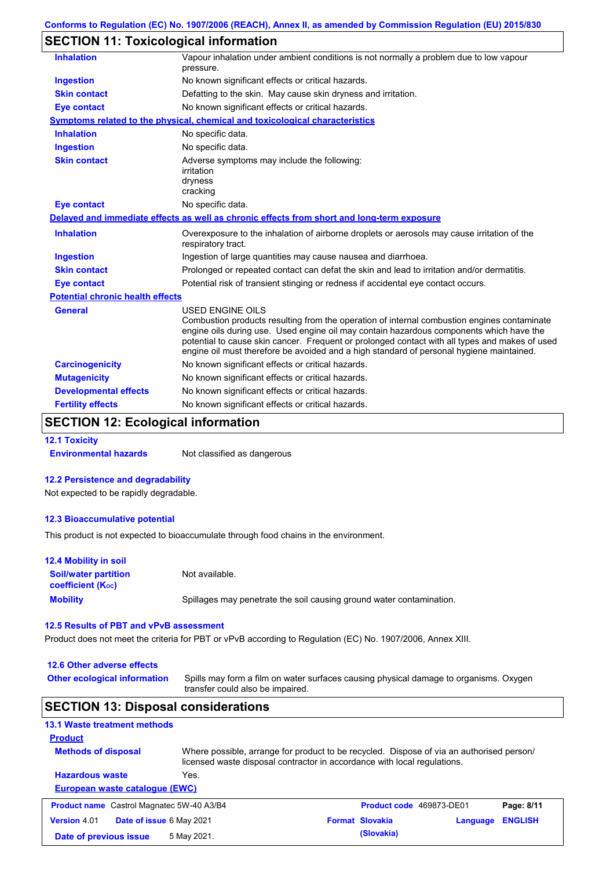# **SECTION 11: Toxicological information**

| <b>Inhalation</b>                       | Vapour inhalation under ambient conditions is not normally a problem due to low vapour<br>pressure.                                                                                                                                                                                                                                                                                                             |
|-----------------------------------------|-----------------------------------------------------------------------------------------------------------------------------------------------------------------------------------------------------------------------------------------------------------------------------------------------------------------------------------------------------------------------------------------------------------------|
| <b>Ingestion</b>                        | No known significant effects or critical hazards.                                                                                                                                                                                                                                                                                                                                                               |
| <b>Skin contact</b>                     | Defatting to the skin. May cause skin dryness and irritation.                                                                                                                                                                                                                                                                                                                                                   |
| <b>Eye contact</b>                      | No known significant effects or critical hazards.                                                                                                                                                                                                                                                                                                                                                               |
|                                         | <u>Symptoms related to the physical, chemical and toxicological characteristics</u>                                                                                                                                                                                                                                                                                                                             |
| <b>Inhalation</b>                       | No specific data.                                                                                                                                                                                                                                                                                                                                                                                               |
| <b>Ingestion</b>                        | No specific data.                                                                                                                                                                                                                                                                                                                                                                                               |
| <b>Skin contact</b>                     | Adverse symptoms may include the following:<br>irritation<br>dryness<br>cracking                                                                                                                                                                                                                                                                                                                                |
| <b>Eye contact</b>                      | No specific data.                                                                                                                                                                                                                                                                                                                                                                                               |
|                                         | Delayed and immediate effects as well as chronic effects from short and long-term exposure                                                                                                                                                                                                                                                                                                                      |
| <b>Inhalation</b>                       | Overexposure to the inhalation of airborne droplets or aerosols may cause irritation of the<br>respiratory tract.                                                                                                                                                                                                                                                                                               |
| <b>Ingestion</b>                        | Ingestion of large quantities may cause nausea and diarrhoea.                                                                                                                                                                                                                                                                                                                                                   |
| <b>Skin contact</b>                     | Prolonged or repeated contact can defat the skin and lead to irritation and/or dermatitis.                                                                                                                                                                                                                                                                                                                      |
| <b>Eye contact</b>                      | Potential risk of transient stinging or redness if accidental eye contact occurs.                                                                                                                                                                                                                                                                                                                               |
| <b>Potential chronic health effects</b> |                                                                                                                                                                                                                                                                                                                                                                                                                 |
| <b>General</b>                          | <b>USED ENGINE OILS</b><br>Combustion products resulting from the operation of internal combustion engines contaminate<br>engine oils during use. Used engine oil may contain hazardous components which have the<br>potential to cause skin cancer. Frequent or prolonged contact with all types and makes of used<br>engine oil must therefore be avoided and a high standard of personal hygiene maintained. |
| <b>Carcinogenicity</b>                  | No known significant effects or critical hazards.                                                                                                                                                                                                                                                                                                                                                               |
| <b>Mutagenicity</b>                     | No known significant effects or critical hazards.                                                                                                                                                                                                                                                                                                                                                               |
| <b>Developmental effects</b>            | No known significant effects or critical hazards.                                                                                                                                                                                                                                                                                                                                                               |
| <b>Fertility effects</b>                | No known significant effects or critical hazards.                                                                                                                                                                                                                                                                                                                                                               |
|                                         |                                                                                                                                                                                                                                                                                                                                                                                                                 |

## **SECTION 12: Ecological information**

**12.1 Toxicity**

**Environmental hazards** Not classified as dangerous

## **12.2 Persistence and degradability**

Not expected to be rapidly degradable.

## **12.3 Bioaccumulative potential**

This product is not expected to bioaccumulate through food chains in the environment.

| <b>12.4 Mobility in soil</b>                            |                                                                      |
|---------------------------------------------------------|----------------------------------------------------------------------|
| <b>Soil/water partition</b><br><b>coefficient (Koc)</b> | Not available.                                                       |
| <b>Mobility</b>                                         | Spillages may penetrate the soil causing ground water contamination. |

### **12.5 Results of PBT and vPvB assessment**

Product does not meet the criteria for PBT or vPvB according to Regulation (EC) No. 1907/2006, Annex XIII.

| 12.6 Other adverse effects                       |                                                                                                                                                                      |                                 |          |                |
|--------------------------------------------------|----------------------------------------------------------------------------------------------------------------------------------------------------------------------|---------------------------------|----------|----------------|
| <b>Other ecological information</b>              | Spills may form a film on water surfaces causing physical damage to organisms. Oxygen<br>transfer could also be impaired.                                            |                                 |          |                |
| <b>SECTION 13: Disposal considerations</b>       |                                                                                                                                                                      |                                 |          |                |
| <b>13.1 Waste treatment methods</b>              |                                                                                                                                                                      |                                 |          |                |
| <b>Product</b>                                   |                                                                                                                                                                      |                                 |          |                |
| <b>Methods of disposal</b>                       | Where possible, arrange for product to be recycled. Dispose of via an authorised person/<br>licensed waste disposal contractor in accordance with local regulations. |                                 |          |                |
| <b>Hazardous waste</b>                           | Yes.                                                                                                                                                                 |                                 |          |                |
| European waste catalogue (EWC)                   |                                                                                                                                                                      |                                 |          |                |
| <b>Product name</b> Castrol Magnatec 5W-40 A3/B4 |                                                                                                                                                                      | <b>Product code</b> 469873-DE01 |          | Page: 8/11     |
| <b>Version 4.01</b><br>Date of issue 6 May 2021  |                                                                                                                                                                      | <b>Format Slovakia</b>          | Language | <b>ENGLISH</b> |
| Date of previous issue                           |                                                                                                                                                                      | (Slovakia)                      |          |                |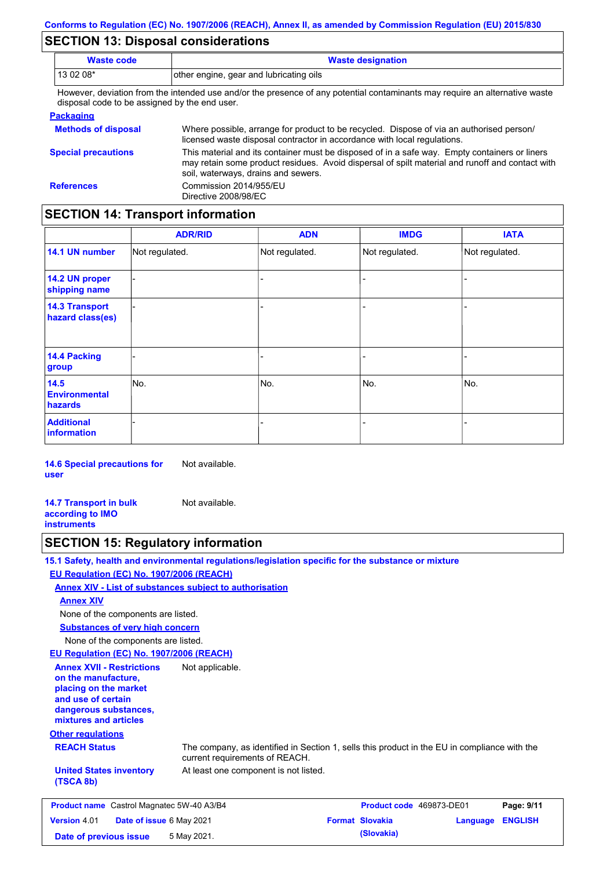## **SECTION 13: Disposal considerations**

| <b>Waste code</b>                                                 | <b>Waste designation</b>                                                                                                                                                                         |
|-------------------------------------------------------------------|--------------------------------------------------------------------------------------------------------------------------------------------------------------------------------------------------|
| 13 02 08*                                                         | other engine, gear and lubricating oils                                                                                                                                                          |
| disposal code to be assigned by the end user.<br><b>Packaging</b> | However, deviation from the intended use and/or the presence of any potential contaminants may require an alternative waste                                                                      |
| <b>Methods of disposal</b>                                        | Where possible, arrange for product to be recycled. Dispose of via an authorised person/<br>licensed waste disposal contractor in accordance with local regulations.                             |
| <b>Special precautions</b>                                        | This material and its container must be disposed of in a safe way. Empty containers or liners<br>may retain some product residues. Avoid dispersal of spilt material and runoff and contact with |

soil, waterways, drains and sewers. **References** Commission 2014/955/EU Directive 2008/98/EC

# **SECTION 14: Transport information**

|                                           | <b>ADR/RID</b> | <b>ADN</b>     | <b>IMDG</b>    | <b>IATA</b>    |
|-------------------------------------------|----------------|----------------|----------------|----------------|
| 14.1 UN number                            | Not regulated. | Not regulated. | Not regulated. | Not regulated. |
| 14.2 UN proper<br>shipping name           |                |                |                |                |
| <b>14.3 Transport</b><br>hazard class(es) |                |                | -              |                |
| 14.4 Packing<br>group                     |                |                | ۰              |                |
| 14.5<br><b>Environmental</b><br>hazards   | No.            | No.            | No.            | No.            |
| <b>Additional</b><br>information          |                |                | ۰              |                |

**14.6 Special precautions for user** Not available.

**14.7 Transport in bulk according to IMO instruments** Not available.

## **SECTION 15: Regulatory information**

|                                                                                                                                                          | 15.1 Safety, health and environmental regulations/legislation specific for the substance or mixture                            |                          |          |                |
|----------------------------------------------------------------------------------------------------------------------------------------------------------|--------------------------------------------------------------------------------------------------------------------------------|--------------------------|----------|----------------|
| <b>EU Regulation (EC) No. 1907/2006 (REACH)</b>                                                                                                          |                                                                                                                                |                          |          |                |
|                                                                                                                                                          | <b>Annex XIV - List of substances subject to authorisation</b>                                                                 |                          |          |                |
| <b>Annex XIV</b>                                                                                                                                         |                                                                                                                                |                          |          |                |
| None of the components are listed.                                                                                                                       |                                                                                                                                |                          |          |                |
| <b>Substances of very high concern</b>                                                                                                                   |                                                                                                                                |                          |          |                |
| None of the components are listed.                                                                                                                       |                                                                                                                                |                          |          |                |
| EU Regulation (EC) No. 1907/2006 (REACH)                                                                                                                 |                                                                                                                                |                          |          |                |
| <b>Annex XVII - Restrictions</b><br>on the manufacture,<br>placing on the market<br>and use of certain<br>dangerous substances,<br>mixtures and articles | Not applicable.                                                                                                                |                          |          |                |
| <b>Other regulations</b>                                                                                                                                 |                                                                                                                                |                          |          |                |
| <b>REACH Status</b>                                                                                                                                      | The company, as identified in Section 1, sells this product in the EU in compliance with the<br>current requirements of REACH. |                          |          |                |
| <b>United States inventory</b><br>(TSCA 8b)                                                                                                              | At least one component is not listed.                                                                                          |                          |          |                |
| <b>Product name</b> Castrol Magnatec 5W-40 A3/B4                                                                                                         |                                                                                                                                | Product code 469873-DE01 |          | Page: 9/11     |
| Version 4.01<br>Date of issue 6 May 2021                                                                                                                 |                                                                                                                                | <b>Format Slovakia</b>   | Language | <b>ENGLISH</b> |
| Date of previous issue                                                                                                                                   | 5 May 2021.                                                                                                                    | (Slovakia)               |          |                |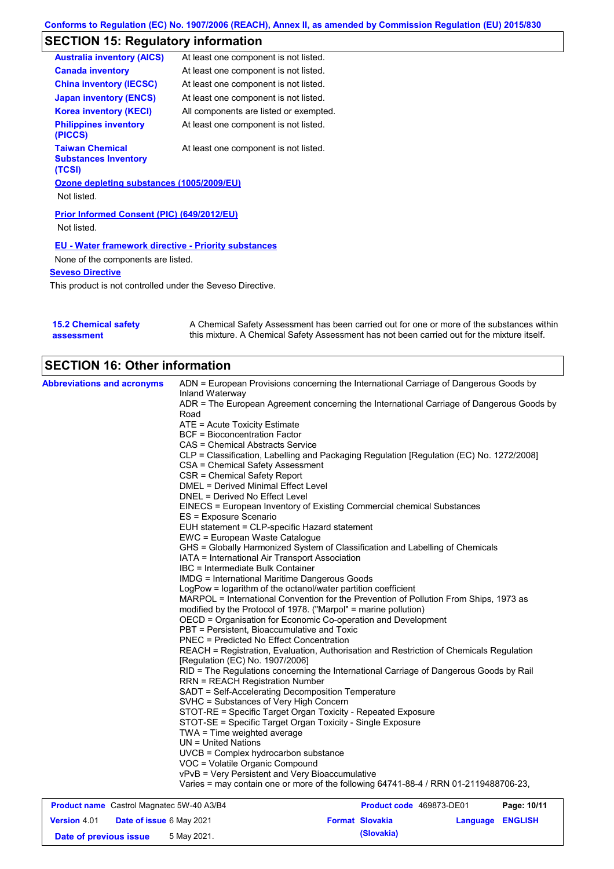# **SECTION 15: Regulatory information**

| <b>Australia inventory (AICS)</b>                               | At least one component is not listed.  |
|-----------------------------------------------------------------|----------------------------------------|
| <b>Canada inventory</b>                                         | At least one component is not listed.  |
| <b>China inventory (IECSC)</b>                                  | At least one component is not listed.  |
| <b>Japan inventory (ENCS)</b>                                   | At least one component is not listed.  |
| <b>Korea inventory (KECI)</b>                                   | All components are listed or exempted. |
| <b>Philippines inventory</b><br>(PICCS)                         | At least one component is not listed.  |
| <b>Taiwan Chemical</b><br><b>Substances Inventory</b><br>(TCSI) | At least one component is not listed.  |
| Ozone depleting substances (1005/2009/EU)                       |                                        |
| Not listed.                                                     |                                        |
| Prior Informed Consent (PIC) (649/2012/EU)                      |                                        |
| Not listed.                                                     |                                        |
| <b>EU - Water framework directive - Priority substances</b>     |                                        |
| None of the components are listed.                              |                                        |
| <b>Seveso Directive</b>                                         |                                        |

This product is not controlled under the Seveso Directive.

| <b>15.2 Chemical safety</b> | A Chemical Safety Assessment has been carried out for one or more of the substances within  |
|-----------------------------|---------------------------------------------------------------------------------------------|
| assessment                  | this mixture. A Chemical Safety Assessment has not been carried out for the mixture itself. |

# **SECTION 16: Other information**

| <b>Abbreviations and acronyms</b> | ADN = European Provisions concerning the International Carriage of Dangerous Goods by<br>Inland Waterway<br>ADR = The European Agreement concerning the International Carriage of Dangerous Goods by<br>Road<br>ATE = Acute Toxicity Estimate<br><b>BCF</b> = Bioconcentration Factor<br>CAS = Chemical Abstracts Service<br>CLP = Classification, Labelling and Packaging Regulation [Regulation (EC) No. 1272/2008]<br>CSA = Chemical Safety Assessment<br>CSR = Chemical Safety Report<br>DMEL = Derived Minimal Effect Level<br>DNEL = Derived No Effect Level<br>EINECS = European Inventory of Existing Commercial chemical Substances<br>ES = Exposure Scenario<br>EUH statement = CLP-specific Hazard statement<br>EWC = European Waste Catalogue<br>GHS = Globally Harmonized System of Classification and Labelling of Chemicals<br>IATA = International Air Transport Association<br>IBC = Intermediate Bulk Container<br><b>IMDG = International Maritime Dangerous Goods</b><br>LogPow = logarithm of the octanol/water partition coefficient<br>MARPOL = International Convention for the Prevention of Pollution From Ships, 1973 as<br>modified by the Protocol of 1978. ("Marpol" = marine pollution)<br>OECD = Organisation for Economic Co-operation and Development<br>PBT = Persistent, Bioaccumulative and Toxic<br><b>PNEC = Predicted No Effect Concentration</b><br>REACH = Registration, Evaluation, Authorisation and Restriction of Chemicals Regulation<br>[Regulation (EC) No. 1907/2006]<br>RID = The Regulations concerning the International Carriage of Dangerous Goods by Rail<br><b>RRN = REACH Registration Number</b><br>SADT = Self-Accelerating Decomposition Temperature<br>SVHC = Substances of Very High Concern<br>STOT-RE = Specific Target Organ Toxicity - Repeated Exposure<br>STOT-SE = Specific Target Organ Toxicity - Single Exposure<br>TWA = Time weighted average<br>$UN = United Nations$<br>UVCB = Complex hydrocarbon substance<br>VOC = Volatile Organic Compound<br>vPvB = Very Persistent and Very Bioaccumulative |
|-----------------------------------|---------------------------------------------------------------------------------------------------------------------------------------------------------------------------------------------------------------------------------------------------------------------------------------------------------------------------------------------------------------------------------------------------------------------------------------------------------------------------------------------------------------------------------------------------------------------------------------------------------------------------------------------------------------------------------------------------------------------------------------------------------------------------------------------------------------------------------------------------------------------------------------------------------------------------------------------------------------------------------------------------------------------------------------------------------------------------------------------------------------------------------------------------------------------------------------------------------------------------------------------------------------------------------------------------------------------------------------------------------------------------------------------------------------------------------------------------------------------------------------------------------------------------------------------------------------------------------------------------------------------------------------------------------------------------------------------------------------------------------------------------------------------------------------------------------------------------------------------------------------------------------------------------------------------------------------------------------------------------------------------------------------------------------------------------------------------------------|
|                                   | Varies = may contain one or more of the following 64741-88-4 / RRN 01-2119488706-23,                                                                                                                                                                                                                                                                                                                                                                                                                                                                                                                                                                                                                                                                                                                                                                                                                                                                                                                                                                                                                                                                                                                                                                                                                                                                                                                                                                                                                                                                                                                                                                                                                                                                                                                                                                                                                                                                                                                                                                                            |

| <b>Product name</b> Castrol Magnatec 5W-40 A3/B4 |                                 | <b>Product code</b> 469873-DE01 | Page: 10/11 |                        |                         |  |
|--------------------------------------------------|---------------------------------|---------------------------------|-------------|------------------------|-------------------------|--|
| <b>Version 4.01</b>                              | <b>Date of issue 6 May 2021</b> |                                 |             | <b>Format Slovakia</b> | <b>Language ENGLISH</b> |  |
| Date of previous issue                           |                                 | 5 May 2021.                     |             | (Slovakia)             |                         |  |